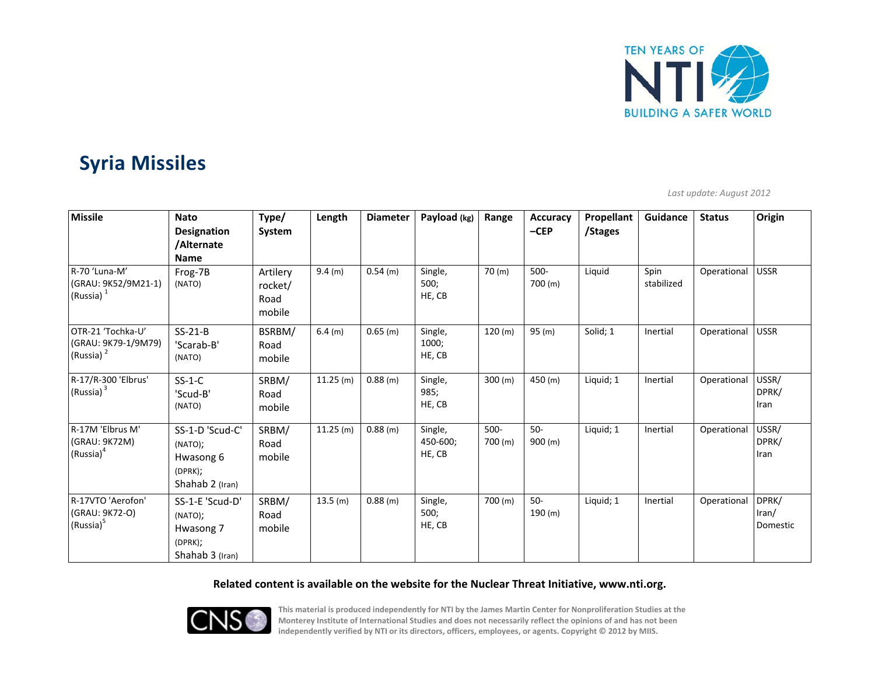

# **Syria Missiles**

*Last update: August 2012*

| <b>Missile</b>                                                    | <b>Nato</b><br><b>Designation</b><br>/Alternate<br><b>Name</b>        | Type/<br>System                       | Length   | <b>Diameter</b> | Payload (kg)                  | Range              | <b>Accuracy</b><br>$-CEP$ | Propellant<br>/Stages | Guidance           | <b>Status</b> | Origin                                     |
|-------------------------------------------------------------------|-----------------------------------------------------------------------|---------------------------------------|----------|-----------------|-------------------------------|--------------------|---------------------------|-----------------------|--------------------|---------------|--------------------------------------------|
| R-70 'Luna-M'<br>(GRAU: 9K52/9M21-1)<br>(Russia) $1$              | Frog-7B<br>(NATO)                                                     | Artilery<br>rocket/<br>Road<br>mobile | 9.4 (m)  | $0.54$ (m)      | Single,<br>500;<br>HE, CB     | 70 (m)             | $500 -$<br>700 (m)        | Liquid                | Spin<br>stabilized | Operational   | <b>USSR</b>                                |
| OTR-21 'Tochka-U'<br>(GRAU: 9K79-1/9M79)<br>(Russia) <sup>2</sup> | $SS-21-B$<br>'Scarab-B'<br>(NATO)                                     | BSRBM/<br>Road<br>mobile              | 6.4(m)   | $0.65$ (m)      | Single,<br>1000;<br>HE, CB    | 120 (m)            | 95(m)                     | Solid; 1              | Inertial           | Operational   | <b>USSR</b>                                |
| R-17/R-300 'Elbrus'<br>(Russia) <sup>3</sup>                      | $SS-1-C$<br>'Scud-B'<br>(NATO)                                        | SRBM/<br>Road<br>mobile               | 11.25(m) | 0.88(m)         | Single,<br>985;<br>HE, CB     | 300 (m)            | 450 (m)                   | Liquid; 1             | Inertial           | Operational   | USSR/<br>DPRK/<br>Iran                     |
| R-17M 'Elbrus M'<br>(GRAU: 9K72M)<br>$(Russia)^4$                 | SS-1-D 'Scud-C'<br>(NATO);<br>Hwasong 6<br>(DPRK);<br>Shahab 2 (Iran) | SRBM/<br>Road<br>mobile               | 11.25(m) | 0.88(m)         | Single,<br>450-600;<br>HE, CB | $500 -$<br>700 (m) | $50-$<br>900 (m)          | Liquid; 1             | Inertial           | Operational   | USSR/<br>DPRK/<br>Iran                     |
| R-17VTO 'Aerofon'<br>(GRAU: 9K72-O)<br>(Russia) <sup>5</sup>      | SS-1-E 'Scud-D'<br>(NATO);<br>Hwasong 7<br>(DPRK);<br>Shahab 3 (Iran) | SRBM/<br>Road<br>mobile               | 13.5(m)  | 0.88(m)         | Single,<br>500;<br>HE, CB     | 700 (m)            | $50-$<br>190 (m)          | Liquid; 1             | Inertial           | Operational   | DPRK/<br>$\text{tran}/\text{}$<br>Domestic |

### **Related content is available on the website for the Nuclear Threat Initiative, www.nti.org.**



This material is produced independently for NTI by the James Martin Center for Nonproliferation Studies at the Monterey Institute of International Studies and does not necessarily reflect the opinions of and has not been **independently verified by NTI or its directors, officers, employees, or agents. Copyright © 2012 by MIIS.**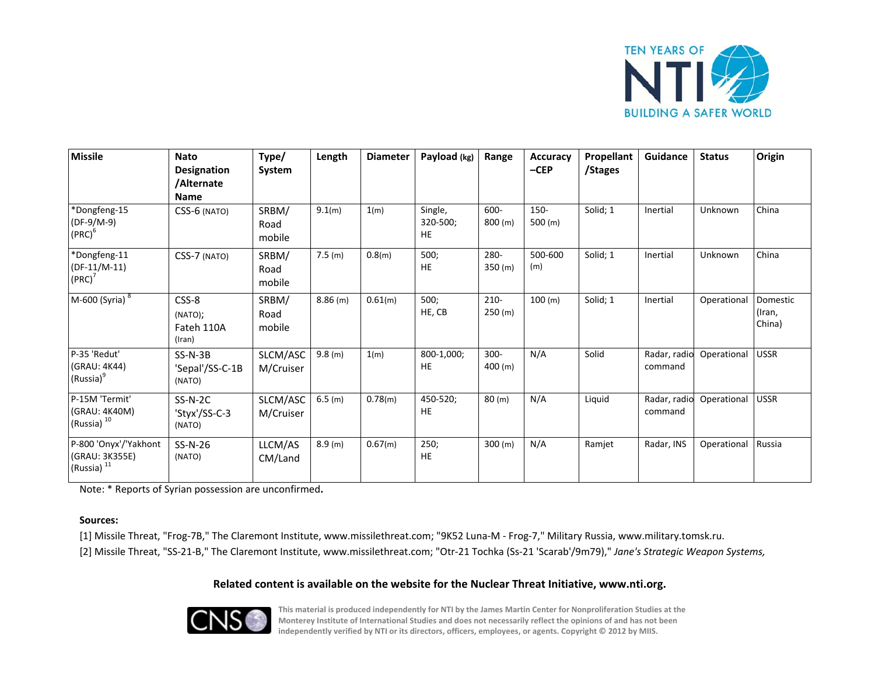

| <b>Missile</b>                                            | <b>Nato</b><br>Designation<br>/Alternate<br><b>Name</b> | Type/<br>System         | Length     | <b>Diameter</b> | Payload (kg)              | Range              | <b>Accuracy</b><br>$-CEP$ | Propellant<br>/Stages | Guidance                | <b>Status</b> | Origin                       |
|-----------------------------------------------------------|---------------------------------------------------------|-------------------------|------------|-----------------|---------------------------|--------------------|---------------------------|-----------------------|-------------------------|---------------|------------------------------|
| *Dongfeng-15<br>$(DF-9/M-9)$<br>$(PRC)^6$                 | CSS-6 (NATO)                                            | SRBM/<br>Road<br>mobile | 9.1(m)     | 1(m)            | Single,<br>320-500;<br>HE | 600-<br>800 (m)    | 150-<br>500 (m)           | Solid; 1              | Inertial                | Unknown       | China                        |
| *Dongfeng-11<br>$(DF-11/M-11)$<br>$(PRC)^7$               | CSS-7 (NATO)                                            | SRBM/<br>Road<br>mobile | 7.5(m)     | 0.8(m)          | 500;<br>HE                | 280-<br>350 (m)    | 500-600<br>(m)            | Solid; 1              | Inertial                | Unknown       | China                        |
| M-600 (Syria) 8                                           | CSS-8<br>(NATO);<br>Fateh 110A<br>(Iran)                | SRBM/<br>Road<br>mobile | $8.86$ (m) | 0.61(m)         | 500;<br>HE, CB            | $210 -$<br>250 (m) | 100 (m)                   | Solid; 1              | Inertial                | Operational   | Domestic<br>(Iran,<br>China) |
| P-35 'Redut'<br>(GRAU: 4K44)<br>(Russia) <sup>9</sup>     | $SS-N-3B$<br>'Sepal'/SS-C-1B<br>(NATO)                  | SLCM/ASC<br>M/Cruiser   | 9.8(m)     | 1(m)            | 800-1,000;<br>HE          | $300 -$<br>400 (m) | N/A                       | Solid                 | Radar, radio<br>command | Operational   | <b>USSR</b>                  |
| P-15M 'Termit'<br>(GRAU: 4K40M)<br>(Russia) <sup>10</sup> | $SS-N-2C$<br>'Styx'/SS-C-3<br>(NATO)                    | SLCM/ASC<br>M/Cruiser   | 6.5(m)     | 0.78(m)         | 450-520;<br>HE            | 80 (m)             | N/A                       | Liquid                | Radar, radio<br>command | Operational   | <b>USSR</b>                  |
| P-800 'Onyx'/'Yakhont<br>(GRAU: 3K355E)<br>(Russia) $11$  | SS-N-26<br>(NATO)                                       | LLCM/AS<br>CM/Land      | 8.9(m)     | 0.67(m)         | 250;<br>HE                | 300 (m)            | N/A                       | Ramiet                | Radar, INS              | Operational   | Russia                       |

Note: \* Reports of Syrian possession are unconfirmed**.**

### **Sources:**

[1] Missile Threat, "Frog-7B," The Claremont Institute, www.missilethreat.com; "9K52 Luna-M - Frog-7," Military Russia, www.military.tomsk.ru. [2] Missile Threat, "SS‐21‐B," The Claremont Institute, www.missilethreat.com; "Otr‐21 Tochka (Ss‐21 'Scarab'/9m79)," *Jane's Strategic Weapon Systems,*

### **Related content is available on the website for the Nuclear Threat Initiative, www.nti.org.**



This material is produced independently for NTI by the James Martin Center for Nonproliferation Studies at the Monterey Institute of International Studies and does not necessarily reflect the opinions of and has not been **independently verified by NTI or its directors, officers, employees, or agents. Copyright © 2012 by MIIS.**